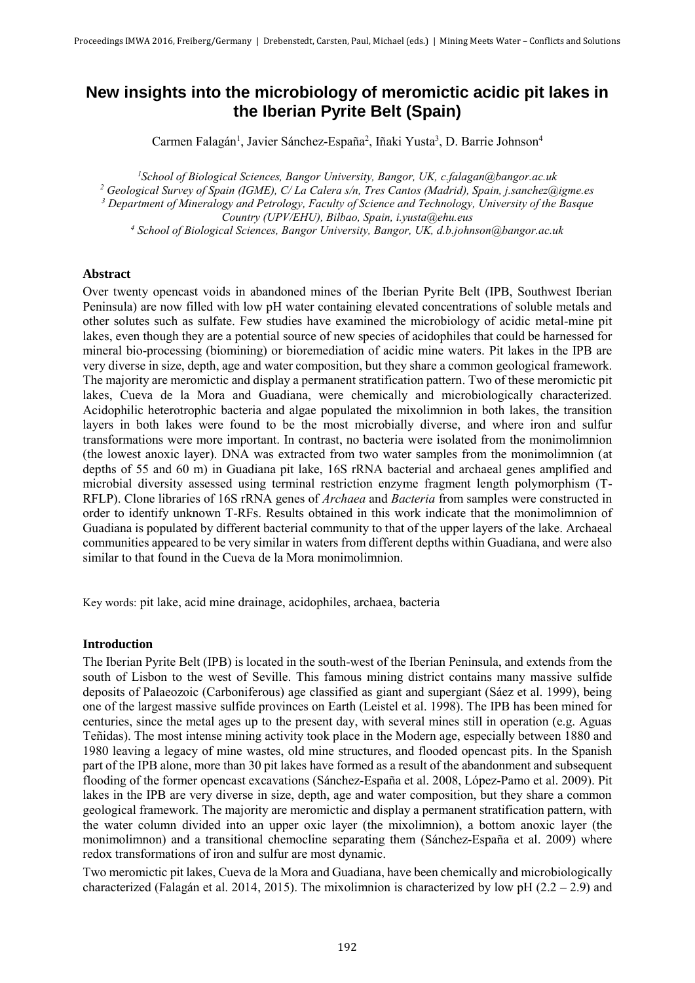# **New insights into the microbiology of meromictic acidic pit lakes in the Iberian Pyrite Belt (Spain)**

Carmen Falagán<sup>1</sup>, Javier Sánchez-España<sup>2</sup>, Iñaki Yusta<sup>3</sup>, D. Barrie Johnson<sup>4</sup>

*<sup>1</sup>School of Biological Sciences, Bangor University, Bangor, UK, c.falagan@bangor.ac.uk 2 Geological Survey of Spain (IGME), C/ La Calera s/n, Tres Cantos (Madrid), Spain, j.sanchez@igme.es 3 Department of Mineralogy and Petrology, Faculty of Science and Technology, University of the Basque Country (UPV/EHU), Bilbao, Spain, i.yusta@ehu.eus*  <sup>4</sup> School of Biological Sciences, Bangor University, Bangor, UK, d.b.johnson@bangor.ac.uk

### **Abstract**

Over twenty opencast voids in abandoned mines of the Iberian Pyrite Belt (IPB, Southwest Iberian Peninsula) are now filled with low pH water containing elevated concentrations of soluble metals and other solutes such as sulfate. Few studies have examined the microbiology of acidic metal-mine pit lakes, even though they are a potential source of new species of acidophiles that could be harnessed for mineral bio-processing (biomining) or bioremediation of acidic mine waters. Pit lakes in the IPB are very diverse in size, depth, age and water composition, but they share a common geological framework. The majority are meromictic and display a permanent stratification pattern. Two of these meromictic pit lakes, Cueva de la Mora and Guadiana, were chemically and microbiologically characterized. Acidophilic heterotrophic bacteria and algae populated the mixolimnion in both lakes, the transition layers in both lakes were found to be the most microbially diverse, and where iron and sulfur transformations were more important. In contrast, no bacteria were isolated from the monimolimnion (the lowest anoxic layer). DNA was extracted from two water samples from the monimolimnion (at depths of 55 and 60 m) in Guadiana pit lake, 16S rRNA bacterial and archaeal genes amplified and microbial diversity assessed using terminal restriction enzyme fragment length polymorphism (T-RFLP). Clone libraries of 16S rRNA genes of *Archaea* and *Bacteria* from samples were constructed in order to identify unknown T-RFs. Results obtained in this work indicate that the monimolimnion of Guadiana is populated by different bacterial community to that of the upper layers of the lake. Archaeal communities appeared to be very similar in waters from different depths within Guadiana, and were also similar to that found in the Cueva de la Mora monimolimnion.

Key words: pit lake, acid mine drainage, acidophiles, archaea, bacteria

#### **Introduction**

The Iberian Pyrite Belt (IPB) is located in the south-west of the Iberian Peninsula, and extends from the south of Lisbon to the west of Seville. This famous mining district contains many massive sulfide deposits of Palaeozoic (Carboniferous) age classified as giant and supergiant (Sáez et al. 1999), being one of the largest massive sulfide provinces on Earth (Leistel et al. 1998). The IPB has been mined for centuries, since the metal ages up to the present day, with several mines still in operation (e.g. Aguas Teñidas). The most intense mining activity took place in the Modern age, especially between 1880 and 1980 leaving a legacy of mine wastes, old mine structures, and flooded opencast pits. In the Spanish part of the IPB alone, more than 30 pit lakes have formed as a result of the abandonment and subsequent flooding of the former opencast excavations (Sánchez-España et al. 2008, López-Pamo et al. 2009). Pit lakes in the IPB are very diverse in size, depth, age and water composition, but they share a common geological framework. The majority are meromictic and display a permanent stratification pattern, with the water column divided into an upper oxic layer (the mixolimnion), a bottom anoxic layer (the monimolimnon) and a transitional chemocline separating them (Sánchez-España et al. 2009) where redox transformations of iron and sulfur are most dynamic.

Two meromictic pit lakes, Cueva de la Mora and Guadiana, have been chemically and microbiologically characterized (Falagán et al. 2014, 2015). The mixolimnion is characterized by low pH  $(2.2 - 2.9)$  and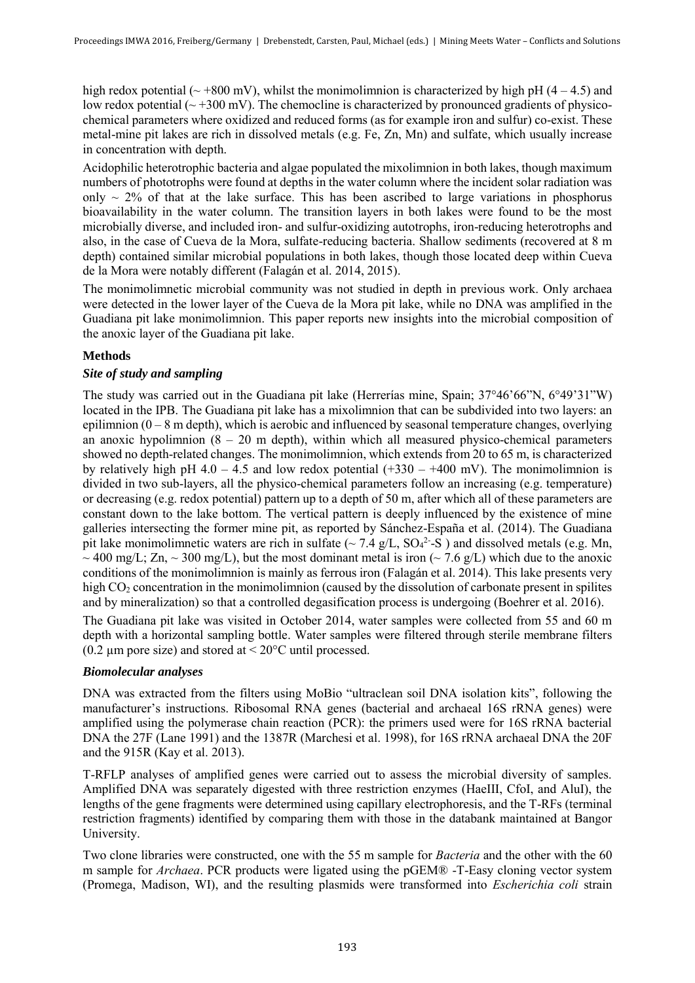high redox potential ( $\sim$  +800 mV), whilst the monimolimnion is characterized by high pH (4 – 4.5) and low redox potential  $\left(\sim 300 \text{ mV}\right)$ . The chemocline is characterized by pronounced gradients of physicochemical parameters where oxidized and reduced forms (as for example iron and sulfur) co-exist. These metal-mine pit lakes are rich in dissolved metals (e.g. Fe, Zn, Mn) and sulfate, which usually increase in concentration with depth.

Acidophilic heterotrophic bacteria and algae populated the mixolimnion in both lakes, though maximum numbers of phototrophs were found at depths in the water column where the incident solar radiation was only  $\sim$  2% of that at the lake surface. This has been ascribed to large variations in phosphorus bioavailability in the water column. The transition layers in both lakes were found to be the most microbially diverse, and included iron- and sulfur-oxidizing autotrophs, iron-reducing heterotrophs and also, in the case of Cueva de la Mora, sulfate-reducing bacteria. Shallow sediments (recovered at 8 m depth) contained similar microbial populations in both lakes, though those located deep within Cueva de la Mora were notably different (Falagán et al. 2014, 2015).

The monimolimnetic microbial community was not studied in depth in previous work. Only archaea were detected in the lower layer of the Cueva de la Mora pit lake, while no DNA was amplified in the Guadiana pit lake monimolimnion. This paper reports new insights into the microbial composition of the anoxic layer of the Guadiana pit lake.

# **Methods**

# *Site of study and sampling*

The study was carried out in the Guadiana pit lake (Herrerías mine, Spain; 37°46'66"N, 6°49'31"W) located in the IPB. The Guadiana pit lake has a mixolimnion that can be subdivided into two layers: an epilimnion  $(0 - 8$  m depth), which is aerobic and influenced by seasonal temperature changes, overlying an anoxic hypolimnion  $(8 - 20 \text{ m depth})$ , within which all measured physico-chemical parameters showed no depth-related changes. The monimolimnion, which extends from 20 to 65 m, is characterized by relatively high pH  $4.0 - 4.5$  and low redox potential  $(+330 - +400$  mV). The monimolimnion is divided in two sub-layers, all the physico-chemical parameters follow an increasing (e.g. temperature) or decreasing (e.g. redox potential) pattern up to a depth of 50 m, after which all of these parameters are constant down to the lake bottom. The vertical pattern is deeply influenced by the existence of mine galleries intersecting the former mine pit, as reported by Sánchez-España et al. (2014). The Guadiana pit lake monimolimnetic waters are rich in sulfate ( $\sim$  7.4 g/L, SO<sub>4</sub><sup>2</sup>-S) and dissolved metals (e.g. Mn,  $\sim$  400 mg/L; Zn,  $\sim$  300 mg/L), but the most dominant metal is iron ( $\sim$  7.6 g/L) which due to the anoxic conditions of the monimolimnion is mainly as ferrous iron (Falagán et al. 2014). This lake presents very high CO<sub>2</sub> concentration in the monimolimnion (caused by the dissolution of carbonate present in spilites and by mineralization) so that a controlled degasification process is undergoing (Boehrer et al. 2016).

The Guadiana pit lake was visited in October 2014, water samples were collected from 55 and 60 m depth with a horizontal sampling bottle. Water samples were filtered through sterile membrane filters (0.2  $\mu$ m pore size) and stored at < 20 $\degree$ C until processed.

# *Biomolecular analyses*

DNA was extracted from the filters using MoBio "ultraclean soil DNA isolation kits", following the manufacturer's instructions. Ribosomal RNA genes (bacterial and archaeal 16S rRNA genes) were amplified using the polymerase chain reaction (PCR): the primers used were for 16S rRNA bacterial DNA the 27F (Lane 1991) and the 1387R (Marchesi et al. 1998), for 16S rRNA archaeal DNA the 20F and the 915R (Kay et al. 2013).

T-RFLP analyses of amplified genes were carried out to assess the microbial diversity of samples. Amplified DNA was separately digested with three restriction enzymes (HaeIII, CfoI, and AluI), the lengths of the gene fragments were determined using capillary electrophoresis, and the T-RFs (terminal restriction fragments) identified by comparing them with those in the databank maintained at Bangor University.

Two clone libraries were constructed, one with the 55 m sample for *Bacteria* and the other with the 60 m sample for *Archaea*. PCR products were ligated using the pGEM® -T-Easy cloning vector system (Promega, Madison, WI), and the resulting plasmids were transformed into *Escherichia coli* strain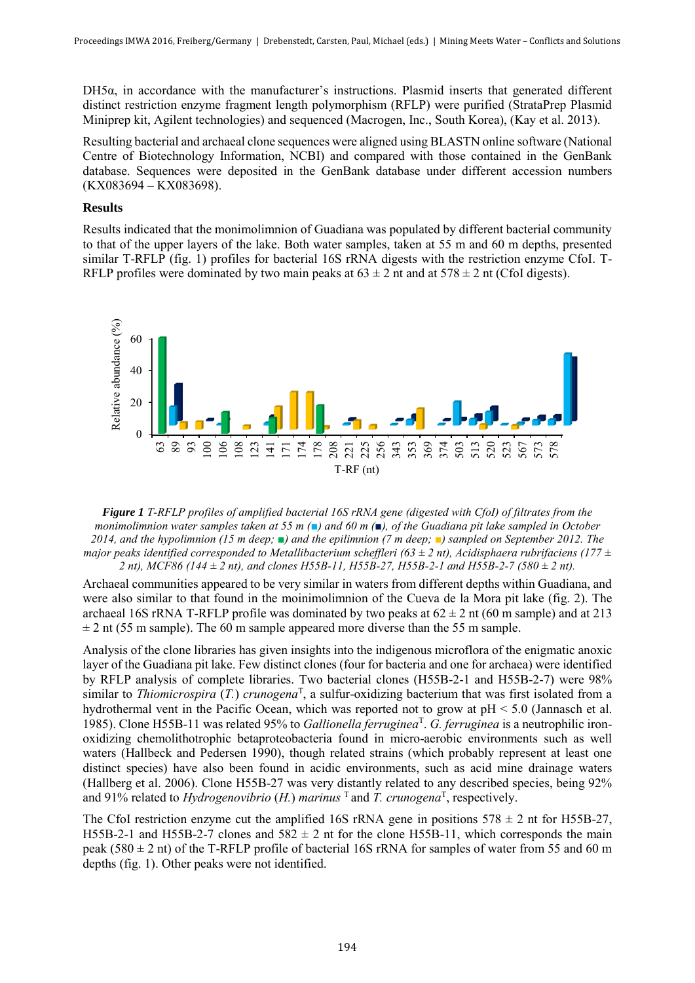DH5α, in accordance with the manufacturer's instructions. Plasmid inserts that generated different distinct restriction enzyme fragment length polymorphism (RFLP) were purified (StrataPrep Plasmid Miniprep kit, Agilent technologies) and sequenced (Macrogen, Inc., South Korea), (Kay et al. 2013).

Resulting bacterial and archaeal clone sequences were aligned using BLASTN online software (National Centre of Biotechnology Information, NCBI) and compared with those contained in the GenBank database. Sequences were deposited in the GenBank database under different accession numbers (KX083694 – KX083698).

## **Results**

Results indicated that the monimolimnion of Guadiana was populated by different bacterial community to that of the upper layers of the lake. Both water samples, taken at 55 m and 60 m depths, presented similar T-RFLP (fig. 1) profiles for bacterial 16S rRNA digests with the restriction enzyme CfoI. T-RFLP profiles were dominated by two main peaks at  $63 \pm 2$  nt and at  $578 \pm 2$  nt (CfoI digests).



*Figure 1 T-RFLP profiles of amplified bacterial 16S rRNA gene (digested with CfoI) of filtrates from the monimolimnion water samples taken at 55 m (■) and 60 m (■), of the Guadiana pit lake sampled in October 2014, and the hypolimnion (15 m deep; ■) and the epilimnion (7 m deep; ■) sampled on September 2012. The major peaks identified corresponded to Metallibacterium scheffleri (63*  $\pm$  *2 nt), Acidisphaera rubrifaciens (177*  $\pm$ *2 nt), MCF86 (144 ± 2 nt), and clones H55B-11, H55B-27, H55B-2-1 and H55B-2-7 (580 ± 2 nt).*

Archaeal communities appeared to be very similar in waters from different depths within Guadiana, and were also similar to that found in the moinimolimnion of the Cueva de la Mora pit lake (fig. 2). The archaeal 16S rRNA T-RFLP profile was dominated by two peaks at  $62 \pm 2$  nt (60 m sample) and at 213  $\pm$  2 nt (55 m sample). The 60 m sample appeared more diverse than the 55 m sample.

Analysis of the clone libraries has given insights into the indigenous microflora of the enigmatic anoxic layer of the Guadiana pit lake. Few distinct clones (four for bacteria and one for archaea) were identified by RFLP analysis of complete libraries. Two bacterial clones (H55B-2-1 and H55B-2-7) were 98% similar to *Thiomicrospira* (*T.*) *crunogena*<sup>T</sup> , a sulfur-oxidizing bacterium that was first isolated from a hydrothermal vent in the Pacific Ocean, which was reported not to grow at pH < 5.0 (Jannasch et al. 1985). Clone H55B-11 was related 95% to *Gallionella ferruginea<sup>T</sup>*. *G. ferruginea* is a neutrophilic ironoxidizing chemolithotrophic betaproteobacteria found in micro-aerobic environments such as well waters (Hallbeck and Pedersen 1990), though related strains (which probably represent at least one distinct species) have also been found in acidic environments, such as acid mine drainage waters (Hallberg et al. 2006). Clone H55B-27 was very distantly related to any described species, being 92% and 91% related to *Hydrogenovibrio* (*H.*) *marinus* <sup>T</sup>and *T. crunogena*<sup>T</sup> , respectively.

The CfoI restriction enzyme cut the amplified 16S rRNA gene in positions  $578 \pm 2$  nt for H55B-27, H55B-2-1 and H55B-2-7 clones and  $582 \pm 2$  nt for the clone H55B-11, which corresponds the main peak (580  $\pm$  2 nt) of the T-RFLP profile of bacterial 16S rRNA for samples of water from 55 and 60 m depths (fig. 1). Other peaks were not identified.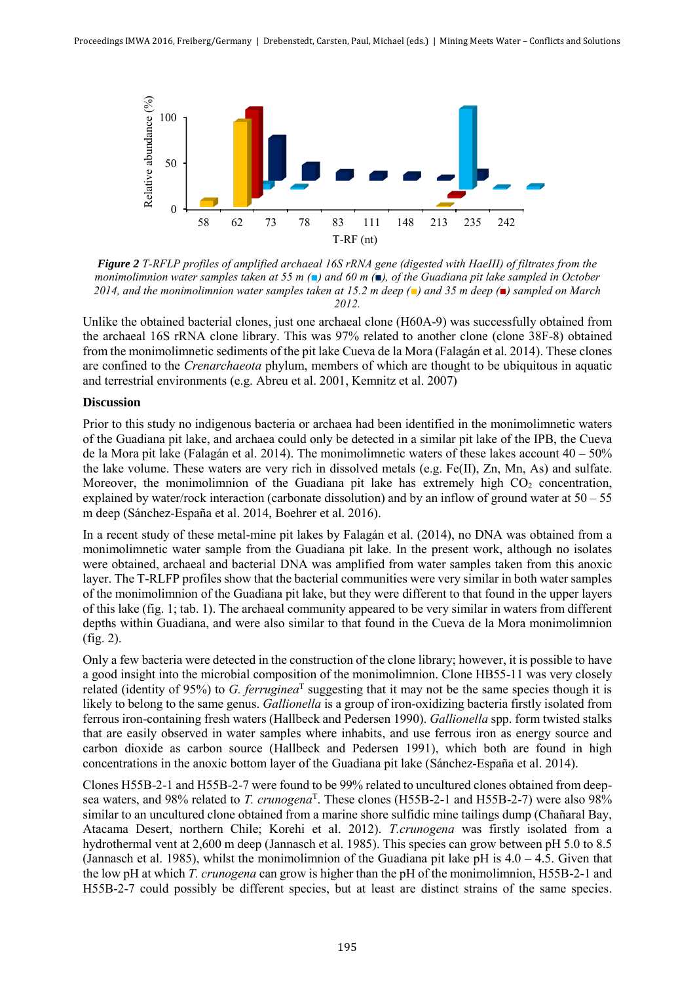

*Figure 2 T-RFLP profiles of amplified archaeal 16S rRNA gene (digested with HaeIII) of filtrates from the monimolimnion water samples taken at 55 m (■) and 60 m (■), of the Guadiana pit lake sampled in October 2014, and the monimolimnion water samples taken at 15.2 m deep (■) and 35 m deep (■) sampled on March 2012.* 

Unlike the obtained bacterial clones, just one archaeal clone (H60A-9) was successfully obtained from the archaeal 16S rRNA clone library. This was 97% related to another clone (clone 38F-8) obtained from the monimolimnetic sediments of the pit lake Cueva de la Mora (Falagán et al. 2014). These clones are confined to the *Crenarchaeota* phylum, members of which are thought to be ubiquitous in aquatic and terrestrial environments (e.g. Abreu et al. 2001, Kemnitz et al. 2007)

## **Discussion**

Prior to this study no indigenous bacteria or archaea had been identified in the monimolimnetic waters of the Guadiana pit lake, and archaea could only be detected in a similar pit lake of the IPB, the Cueva de la Mora pit lake (Falagán et al. 2014). The monimolimnetic waters of these lakes account  $40 - 50\%$ the lake volume. These waters are very rich in dissolved metals (e.g. Fe(II), Zn, Mn, As) and sulfate. Moreover, the monimolimnion of the Guadiana pit lake has extremely high  $CO<sub>2</sub>$  concentration, explained by water/rock interaction (carbonate dissolution) and by an inflow of ground water at  $50 - 55$ m deep (Sánchez-España et al. 2014, Boehrer et al. 2016).

In a recent study of these metal-mine pit lakes by Falagán et al. (2014), no DNA was obtained from a monimolimnetic water sample from the Guadiana pit lake. In the present work, although no isolates were obtained, archaeal and bacterial DNA was amplified from water samples taken from this anoxic layer. The T-RLFP profiles show that the bacterial communities were very similar in both water samples of the monimolimnion of the Guadiana pit lake, but they were different to that found in the upper layers of this lake (fig. 1; tab. 1). The archaeal community appeared to be very similar in waters from different depths within Guadiana, and were also similar to that found in the Cueva de la Mora monimolimnion (fig. 2).

Only a few bacteria were detected in the construction of the clone library; however, it is possible to have a good insight into the microbial composition of the monimolimnion. Clone HB55-11 was very closely related (identity of 95%) to *G. ferruginea*<sup>T</sup> suggesting that it may not be the same species though it is likely to belong to the same genus. *Gallionella* is a group of iron-oxidizing bacteria firstly isolated from ferrous iron-containing fresh waters (Hallbeck and Pedersen 1990). *Gallionella* spp. form twisted stalks that are easily observed in water samples where inhabits, and use ferrous iron as energy source and carbon dioxide as carbon source (Hallbeck and Pedersen 1991), which both are found in high concentrations in the anoxic bottom layer of the Guadiana pit lake (Sánchez-España et al. 2014).

Clones H55B-2-1 and H55B-2-7 were found to be 99% related to uncultured clones obtained from deepsea waters, and 98% related to *T. crunogena*<sup>T</sup>. These clones (H55B-2-1 and H55B-2-7) were also 98% similar to an uncultured clone obtained from a marine shore sulfidic mine tailings dump (Chañaral Bay, Atacama Desert, northern Chile; Korehi et al. 2012). *T.crunogena* was firstly isolated from a hydrothermal vent at 2,600 m deep (Jannasch et al. 1985). This species can grow between pH 5.0 to 8.5 (Jannasch et al. 1985), whilst the monimolimnion of the Guadiana pit lake pH is 4.0 – 4.5. Given that the low pH at which *T. crunogena* can grow is higher than the pH of the monimolimnion, H55B-2-1 and H55B-2-7 could possibly be different species, but at least are distinct strains of the same species.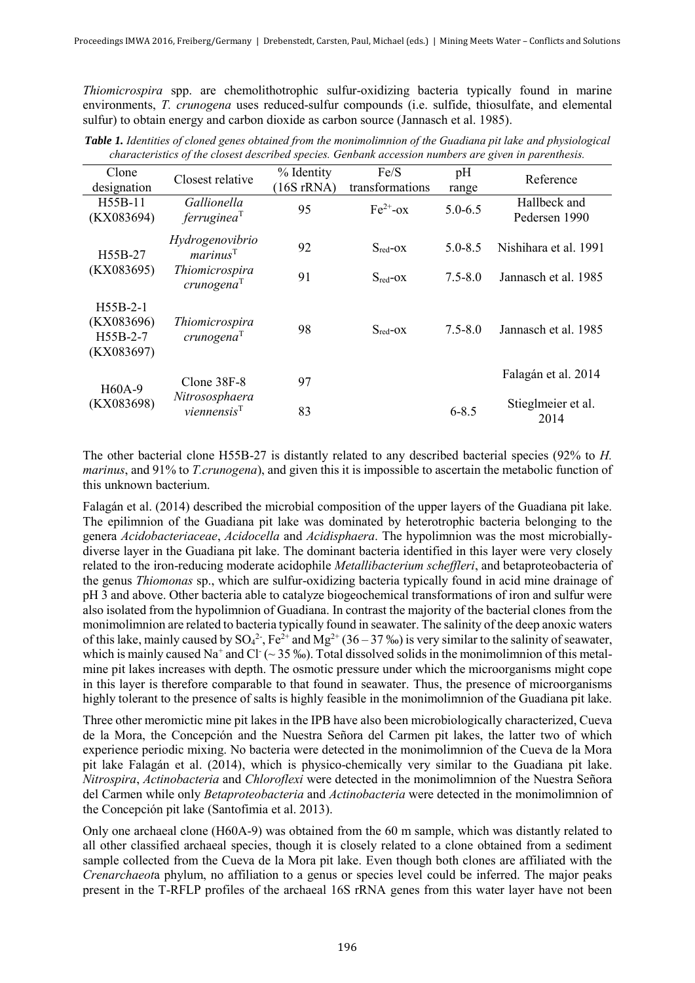*Thiomicrospira* spp. are chemolithotrophic sulfur-oxidizing bacteria typically found in marine environments, *T. crunogena* uses reduced-sulfur compounds (i.e. sulfide, thiosulfate, and elemental sulfur) to obtain energy and carbon dioxide as carbon source (Jannasch et al. 1985).

| Clone<br>designation                               | Closest relative                                              | % Identity<br>$(16S \, rRNA)$ | Fe/S<br>transformations | pH<br>range | Reference                     |
|----------------------------------------------------|---------------------------------------------------------------|-------------------------------|-------------------------|-------------|-------------------------------|
| H <sub>55</sub> B-11<br>(KX083694)                 | Gallionella<br>ferruginea <sup>T</sup>                        | 95                            | $Fe^{2+}$ -ox           | $5.0 - 6.5$ | Hallbeck and<br>Pedersen 1990 |
| H <sub>55</sub> B-27<br>(KX083695)                 | Hydrogenovibrio<br>marinus <sup>T</sup>                       | 92                            | $S_{\text{red}}$ -OX    | $5.0 - 8.5$ | Nishihara et al. 1991         |
|                                                    | Thiomicrospira<br>crunogena <sup>T</sup>                      | 91                            | $S_{red}$ - $OX$        | $7.5 - 8.0$ | Jannasch et al. 1985          |
| $H55B-2-1$<br>(KX083696)<br>H55B-2-7<br>(KX083697) | Thiomicrospira<br>crunogena <sup>T</sup>                      | 98                            | $S_{red}$ -OX           | $7.5 - 8.0$ | Jannasch et al. 1985          |
| H <sub>60</sub> A-9<br>(KX083698)                  | $C$ lone $38F-8$<br>Nitrososphaera<br>viennensis <sup>T</sup> | 97                            |                         |             | Falagán et al. 2014           |
|                                                    |                                                               | 83                            |                         | $6 - 8.5$   | Stieglmeier et al.<br>2014    |

*Table 1. Identities of cloned genes obtained from the monimolimnion of the Guadiana pit lake and physiological characteristics of the closest described species. Genbank accession numbers are given in parenthesis.* 

The other bacterial clone H55B-27 is distantly related to any described bacterial species (92% to *H. marinus*, and 91% to *T.crunogena*), and given this it is impossible to ascertain the metabolic function of this unknown bacterium.

Falagán et al. (2014) described the microbial composition of the upper layers of the Guadiana pit lake. The epilimnion of the Guadiana pit lake was dominated by heterotrophic bacteria belonging to the genera *Acidobacteriaceae*, *Acidocella* and *Acidisphaera*. The hypolimnion was the most microbiallydiverse layer in the Guadiana pit lake. The dominant bacteria identified in this layer were very closely related to the iron-reducing moderate acidophile *Metallibacterium scheffleri*, and betaproteobacteria of the genus *Thiomonas* sp., which are sulfur-oxidizing bacteria typically found in acid mine drainage of pH 3 and above. Other bacteria able to catalyze biogeochemical transformations of iron and sulfur were also isolated from the hypolimnion of Guadiana. In contrast the majority of the bacterial clones from the monimolimnion are related to bacteria typically found in seawater. The salinity of the deep anoxic waters of this lake, mainly caused by  $SO_4^2$ , Fe<sup>2+</sup> and Mg<sup>2+</sup> (36 – 37 ‰) is very similar to the salinity of seawater, which is mainly caused Na<sup>+</sup> and Cl<sup>-</sup> ( $\sim$  35 ‰). Total dissolved solids in the monimolimnion of this metalmine pit lakes increases with depth. The osmotic pressure under which the microorganisms might cope in this layer is therefore comparable to that found in seawater. Thus, the presence of microorganisms highly tolerant to the presence of salts is highly feasible in the monimolimnion of the Guadiana pit lake.

Three other meromictic mine pit lakes in the IPB have also been microbiologically characterized, Cueva de la Mora, the Concepción and the Nuestra Señora del Carmen pit lakes, the latter two of which experience periodic mixing. No bacteria were detected in the monimolimnion of the Cueva de la Mora pit lake Falagán et al. (2014), which is physico-chemically very similar to the Guadiana pit lake. *Nitrospira*, *Actinobacteria* and *Chloroflexi* were detected in the monimolimnion of the Nuestra Señora del Carmen while only *Betaproteobacteria* and *Actinobacteria* were detected in the monimolimnion of the Concepción pit lake (Santofimia et al. 2013).

Only one archaeal clone (H60A-9) was obtained from the 60 m sample, which was distantly related to all other classified archaeal species, though it is closely related to a clone obtained from a sediment sample collected from the Cueva de la Mora pit lake. Even though both clones are affiliated with the *Crenarchaeot*a phylum, no affiliation to a genus or species level could be inferred. The major peaks present in the T-RFLP profiles of the archaeal 16S rRNA genes from this water layer have not been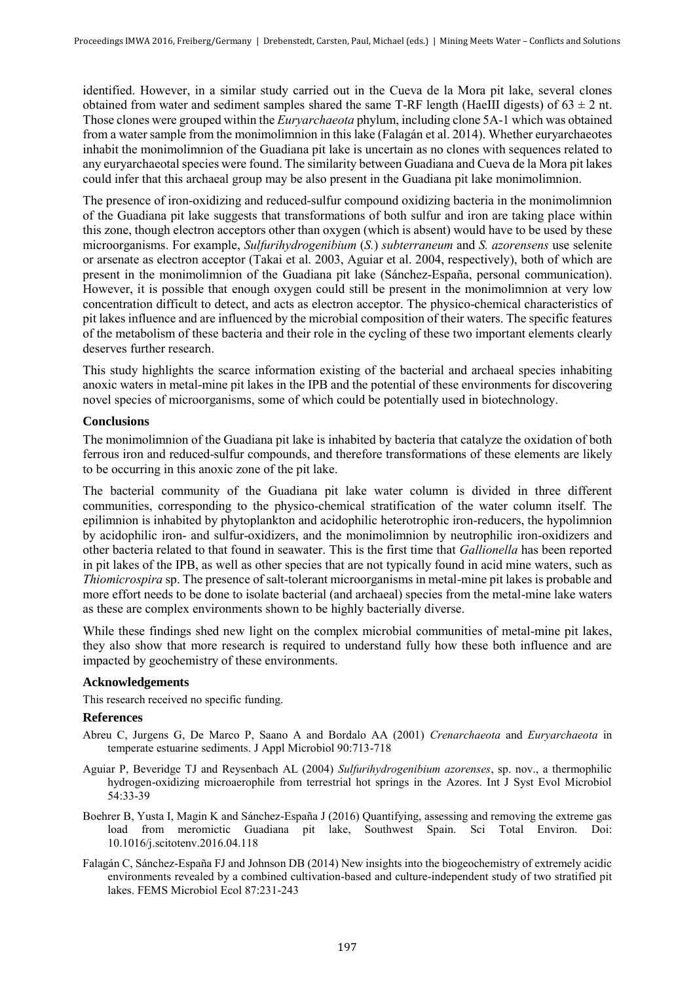identified. However, in a similar study carried out in the Cueva de la Mora pit lake, several clones obtained from water and sediment samples shared the same T-RF length (HaeIII digests) of  $63 \pm 2$  nt. Those clones were grouped within the *Euryarchaeota* phylum, including clone 5A-1 which was obtained from a water sample from the monimolimnion in this lake (Falagán et al. 2014). Whether euryarchaeotes inhabit the monimolimnion of the Guadiana pit lake is uncertain as no clones with sequences related to any euryarchaeotal species were found. The similarity between Guadiana and Cueva de la Mora pit lakes could infer that this archaeal group may be also present in the Guadiana pit lake monimolimnion.

The presence of iron-oxidizing and reduced-sulfur compound oxidizing bacteria in the monimolimnion of the Guadiana pit lake suggests that transformations of both sulfur and iron are taking place within this zone, though electron acceptors other than oxygen (which is absent) would have to be used by these microorganisms. For example, *Sulfurihydrogenibium* (*S.*) *subterraneum* and *S. azorensens* use selenite or arsenate as electron acceptor (Takai et al. 2003, Aguiar et al. 2004, respectively), both of which are present in the monimolimnion of the Guadiana pit lake (Sánchez-España, personal communication). However, it is possible that enough oxygen could still be present in the monimolimnion at very low concentration difficult to detect, and acts as electron acceptor. The physico-chemical characteristics of pit lakes influence and are influenced by the microbial composition of their waters. The specific features of the metabolism of these bacteria and their role in the cycling of these two important elements clearly deserves further research.

This study highlights the scarce information existing of the bacterial and archaeal species inhabiting anoxic waters in metal-mine pit lakes in the IPB and the potential of these environments for discovering novel species of microorganisms, some of which could be potentially used in biotechnology.

## **Conclusions**

The monimolimnion of the Guadiana pit lake is inhabited by bacteria that catalyze the oxidation of both ferrous iron and reduced-sulfur compounds, and therefore transformations of these elements are likely to be occurring in this anoxic zone of the pit lake.

The bacterial community of the Guadiana pit lake water column is divided in three different communities, corresponding to the physico-chemical stratification of the water column itself. The epilimnion is inhabited by phytoplankton and acidophilic heterotrophic iron-reducers, the hypolimnion by acidophilic iron- and sulfur-oxidizers, and the monimolimnion by neutrophilic iron-oxidizers and other bacteria related to that found in seawater. This is the first time that *Gallionella* has been reported in pit lakes of the IPB, as well as other species that are not typically found in acid mine waters, such as *Thiomicrospira* sp. The presence of salt-tolerant microorganisms in metal-mine pit lakes is probable and more effort needs to be done to isolate bacterial (and archaeal) species from the metal-mine lake waters as these are complex environments shown to be highly bacterially diverse.

While these findings shed new light on the complex microbial communities of metal-mine pit lakes, they also show that more research is required to understand fully how these both influence and are impacted by geochemistry of these environments.

#### **Acknowledgements**

This research received no specific funding.

#### **References**

- Abreu C, Jurgens G, De Marco P, Saano A and Bordalo AA (2001) *Crenarchaeota* and *Euryarchaeota* in temperate estuarine sediments. J Appl Microbiol 90:713-718
- Aguiar P, Beveridge TJ and Reysenbach AL (2004) *Sulfurihydrogenibium azorenses*, sp. nov., a thermophilic hydrogen-oxidizing microaerophile from terrestrial hot springs in the Azores. Int J Syst Evol Microbiol 54:33-39
- Boehrer B, Yusta I, Magin K and Sánchez-España J (2016) Quantifying, assessing and removing the extreme gas load from meromictic Guadiana pit lake, Southwest Spain. Sci Total Environ. Doi: 10.1016/j.scitotenv.2016.04.118
- Falagán C, Sánchez-España FJ and Johnson DB (2014) New insights into the biogeochemistry of extremely acidic environments revealed by a combined cultivation-based and culture-independent study of two stratified pit lakes. FEMS Microbiol Ecol 87:231-243